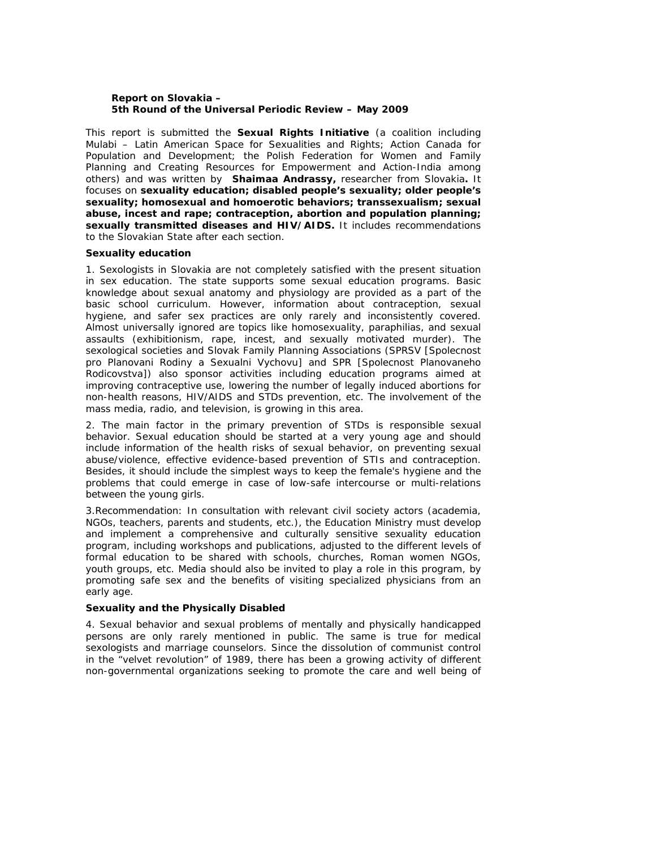## **Report on Slovakia – 5th Round of the Universal Periodic Review – May 2009**

This report is submitted the **Sexual Rights Initiative** (a coalition including Mulabi – Latin American Space for Sexualities and Rights; Action Canada for Population and Development; the Polish Federation for Women and Family Planning and Creating Resources for Empowerment and Action-India among others) and was written by **Shaimaa Andrassy,** researcher from Slovakia**.** It focuses on **sexuality education; disabled people's sexuality; older people's sexuality; homosexual and homoerotic behaviors; transsexualism; sexual abuse, incest and rape; contraception, abortion and population planning; sexually transmitted diseases and HIV/AIDS.** It includes recommendations to the Slovakian State after each section.

# **Sexuality education**

1. Sexologists in Slovakia are not completely satisfied with the present situation in sex education. The state supports some sexual education programs. Basic knowledge about sexual anatomy and physiology are provided as a part of the basic school curriculum. However, information about contraception, sexual hygiene, and safer sex practices are only rarely and inconsistently covered. Almost universally ignored are topics like homosexuality, paraphilias, and sexual assaults (exhibitionism, rape, incest, and sexually motivated murder). The sexological societies and Slovak Family Planning Associations (SPRSV *[Spolecnost pro Planovani Rodiny a Sexualni Vychovu]* and SPR *[Spolecnost Planovaneho Rodicovstva]*) also sponsor activities including education programs aimed at improving contraceptive use, lowering the number of legally induced abortions for non-health reasons, HIV/AIDS and STDs prevention, etc. The involvement of the mass media, radio, and television, is growing in this area.

2. The main factor in the primary prevention of STDs is responsible sexual behavior. Sexual education should be started at a very young age and should include information of the health risks of sexual behavior, on preventing sexual abuse/violence, effective evidence-based prevention of STIs and contraception. Besides, it should include the simplest ways to keep the female's hygiene and the problems that could emerge in case of low-safe intercourse or multi-relations between the young girls.

3.Recommendation: In consultation with relevant civil society actors (academia, NGOs, teachers, parents and students, etc.), the Education Ministry must develop and implement a comprehensive and culturally sensitive sexuality education program, including workshops and publications, adjusted to the different levels of formal education to be shared with schools, churches, Roman women NGOs, youth groups, etc. Media should also be invited to play a role in this program, by promoting safe sex and the benefits of visiting specialized physicians from an early age.

## *Sexuality and the Physically Disabled*

4. Sexual behavior and sexual problems of mentally and physically handicapped persons are only rarely mentioned in public. The same is true for medical sexologists and marriage counselors. Since the dissolution of communist control in the "velvet revolution" of 1989, there has been a growing activity of different non-governmental organizations seeking to promote the care and well being of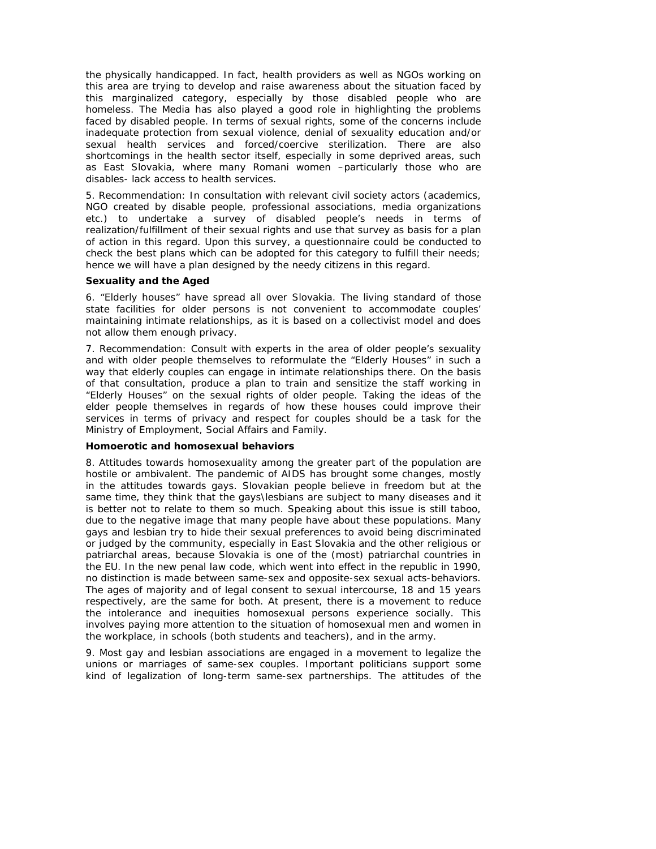the physically handicapped. In fact, health providers as well as NGOs working on this area are trying to develop and raise awareness about the situation faced by this marginalized category, especially by those disabled people who are homeless. The Media has also played a good role in highlighting the problems faced by disabled people. In terms of sexual rights, some of the concerns include inadequate protection from sexual violence, denial of sexuality education and/or sexual health services and forced/coercive sterilization. There are also shortcomings in the health sector itself, especially in some deprived areas, such as East Slovakia, where many Romani women –particularly those who are disables- lack access to health services.

5. Recommendation: In consultation with relevant civil society actors (academics, NGO created by disable people, professional associations, media organizations etc.) to undertake a survey of disabled people's needs in terms of realization/fulfillment of their sexual rights and use that survey as basis for a plan of action in this regard. Upon this survey, a questionnaire could be conducted to check the best plans which can be adopted for this category to fulfill their needs; hence we will have a plan designed by the needy citizens in this regard.

### *Sexuality and the Aged*

6. "Elderly houses" have spread all over Slovakia. The living standard of those state facilities for older persons is not convenient to accommodate couples' maintaining intimate relationships, as it is based on a collectivist model and does not allow them enough privacy.

7. Recommendation: Consult with experts in the area of older people's sexuality and with older people themselves to reformulate the "Elderly Houses" in such a way that elderly couples can engage in intimate relationships there. On the basis of that consultation, produce a plan to train and sensitize the staff working in "Elderly Houses" on the sexual rights of older people. Taking the ideas of the elder people themselves in regards of how these houses could improve their services in terms of privacy and respect for couples should be a task for the Ministry of Employment, Social Affairs and Family.

## **Homoerotic and homosexual behaviors**

8. Attitudes towards homosexuality among the greater part of the population are hostile or ambivalent. The pandemic of AIDS has brought some changes, mostly in the attitudes towards gays. Slovakian people believe in freedom but at the same time, they think that the gays\lesbians are subject to many diseases and it is better not to relate to them so much. Speaking about this issue is still taboo, due to the negative image that many people have about these populations. Many gays and lesbian try to hide their sexual preferences to avoid being discriminated or judged by the community, especially in East Slovakia and the other religious or patriarchal areas, because Slovakia is one of the (most) patriarchal countries in the EU. In the new penal law code, which went into effect in the republic in 1990, no distinction is made between same-sex and opposite-sex sexual acts-behaviors. The ages of majority and of legal consent to sexual intercourse, 18 and 15 years respectively, are the same for both. At present, there is a movement to reduce the intolerance and inequities homosexual persons experience socially. This involves paying more attention to the situation of homosexual men and women in the workplace, in schools (both students and teachers), and in the army.

9. Most gay and lesbian associations are engaged in a movement to legalize the unions or marriages of same-sex couples. Important politicians support some kind of legalization of long-term same-sex partnerships. The attitudes of the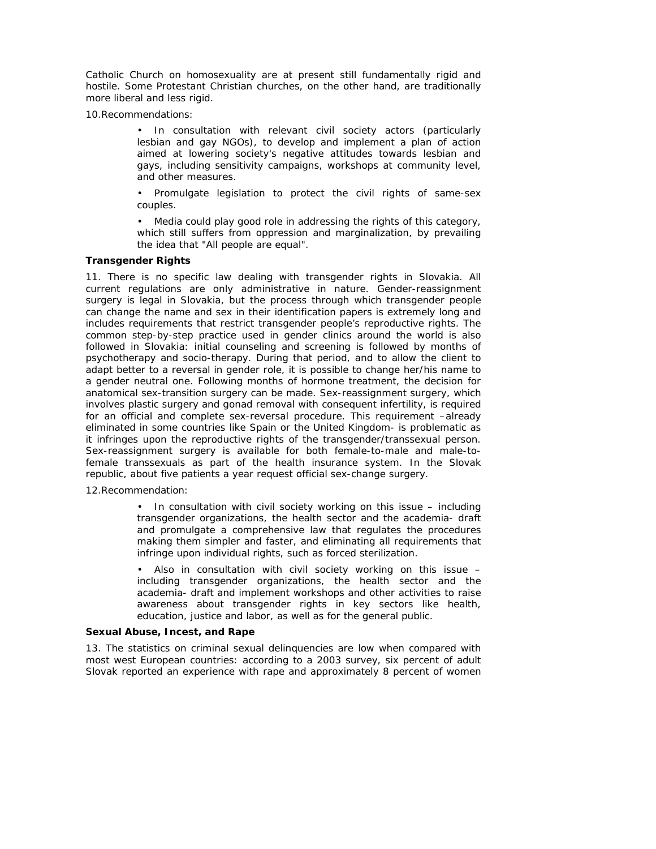Catholic Church on homosexuality are at present still fundamentally rigid and hostile. Some Protestant Christian churches, on the other hand, are traditionally more liberal and less rigid.

10.Recommendations:

• In consultation with relevant civil society actors (particularly lesbian and gay NGOs), to develop and implement a plan of action aimed at lowering society's negative attitudes towards lesbian and gays, including sensitivity campaigns, workshops at community level, and other measures.

• Promulgate legislation to protect the civil rights of same-sex couples.

• Media could play good role in addressing the rights of this category, which still suffers from oppression and marginalization, by prevailing the idea that "All people are equal".

# **Transgender Rights**

11. There is no specific law dealing with transgender rights in Slovakia. All current regulations are only administrative in nature. Gender-reassignment surgery is legal in Slovakia, but the process through which transgender people can change the name and sex in their identification papers is extremely long and includes requirements that restrict transgender people's reproductive rights. The common step-by-step practice used in gender clinics around the world is also followed in Slovakia: initial counseling and screening is followed by months of psychotherapy and socio-therapy. During that period, and to allow the client to adapt better to a reversal in gender role, it is possible to change her/his name to a gender neutral one. Following months of hormone treatment, the decision for anatomical sex-transition surgery can be made. Sex-reassignment surgery, which involves plastic surgery and gonad removal with consequent infertility, is required for an official and complete sex-reversal procedure. This requirement –already eliminated in some countries like Spain or the United Kingdom- is problematic as it infringes upon the reproductive rights of the transgender/transsexual person. Sex-reassignment surgery is available for both female-to-male and male-tofemale transsexuals as part of the health insurance system. In the Slovak republic, about five patients a year request official sex-change surgery.

12.Recommendation:

• In consultation with civil society working on this issue – including transgender organizations, the health sector and the academia- draft and promulgate a comprehensive law that regulates the procedures making them simpler and faster, and eliminating all requirements that infringe upon individual rights, such as forced sterilization.

• Also in consultation with civil society working on this issue – including transgender organizations, the health sector and the academia- draft and implement workshops and other activities to raise awareness about transgender rights in key sectors like health, education, justice and labor, as well as for the general public.

#### *Sexual Abuse, Incest, and Rape*

13. The statistics on criminal sexual delinquencies are low when compared with most west European countries: according to a 2003 survey, six percent of adult Slovak reported an experience with rape and approximately 8 percent of women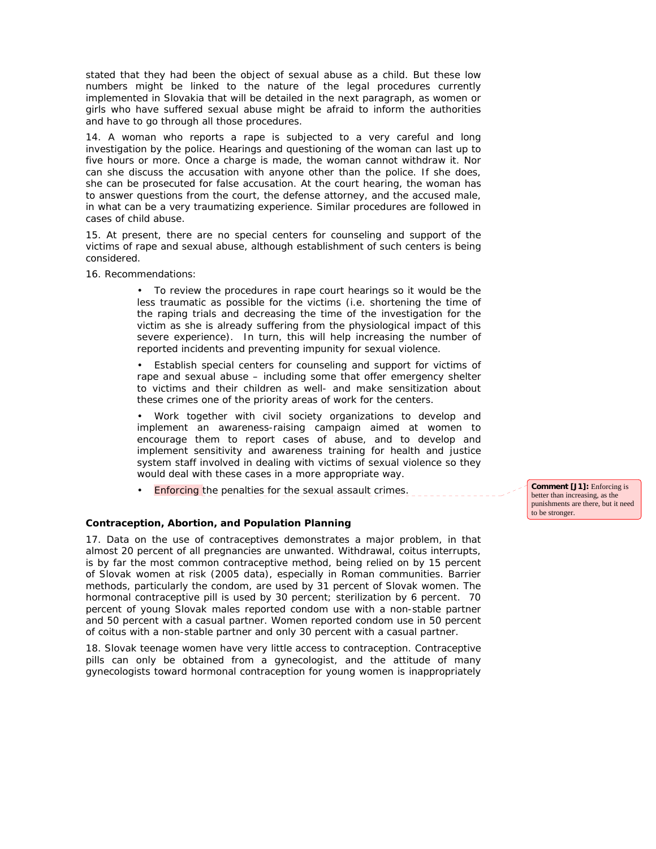stated that they had been the object of sexual abuse as a child. But these low numbers might be linked to the nature of the legal procedures currently implemented in Slovakia that will be detailed in the next paragraph, as women or girls who have suffered sexual abuse might be afraid to inform the authorities and have to go through all those procedures.

14. A woman who reports a rape is subjected to a very careful and long investigation by the police. Hearings and questioning of the woman can last up to five hours or more. Once a charge is made, the woman cannot withdraw it. Nor can she discuss the accusation with anyone other than the police. If she does, she can be prosecuted for false accusation. At the court hearing, the woman has to answer questions from the court, the defense attorney, and the accused male, in what can be a very traumatizing experience. Similar procedures are followed in cases of child abuse.

15. At present, there are no special centers for counseling and support of the victims of rape and sexual abuse, although establishment of such centers is being considered.

16. Recommendations:

• To review the procedures in rape court hearings so it would be the less traumatic as possible for the victims (i.e. shortening the time of the raping trials and decreasing the time of the investigation for the victim as she is already suffering from the physiological impact of this severe experience). In turn, this will help increasing the number of reported incidents and preventing impunity for sexual violence.

• Establish special centers for counseling and support for victims of rape and sexual abuse – including some that offer emergency shelter to victims and their children as well- and make sensitization about these crimes one of the priority areas of work for the centers.

• Work together with civil society organizations to develop and implement an awareness-raising campaign aimed at women to encourage them to report cases of abuse, and to develop and implement sensitivity and awareness training for health and justice system staff involved in dealing with victims of sexual violence so they would deal with these cases in a more appropriate way.

• Enforcing the penalties for the sexual assault crimes.

#### *Contraception, Abortion, and Population Planning*

17. Data on the use of contraceptives demonstrates a major problem, in that almost 20 percent of all pregnancies are unwanted. Withdrawal, coitus interrupts, is by far the most common contraceptive method, being relied on by 15 percent of Slovak women at risk (2005 data), especially in Roman communities. Barrier methods, particularly the condom, are used by 31 percent of Slovak women. The hormonal contraceptive pill is used by 30 percent; sterilization by 6 percent. 70 percent of young Slovak males reported condom use with a non-stable partner and 50 percent with a casual partner. Women reported condom use in 50 percent of coitus with a non-stable partner and only 30 percent with a casual partner.

18. Slovak teenage women have very little access to contraception. Contraceptive pills can only be obtained from a gynecologist, and the attitude of many gynecologists toward hormonal contraception for young women is inappropriately **Comment [J1]:** Enforcing is better than increasing, as the punishments are there, but it need to be stronger.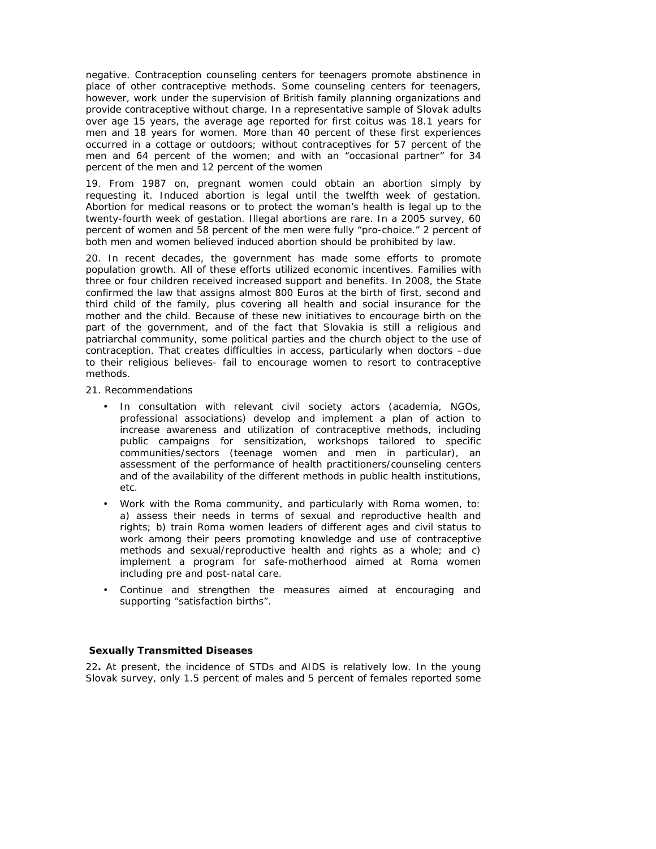negative. Contraception counseling centers for teenagers promote abstinence in place of other contraceptive methods. Some counseling centers for teenagers, however, work under the supervision of British family planning organizations and provide contraceptive without charge. In a representative sample of Slovak adults over age 15 years, the average age reported for first coitus was 18.1 years for men and 18 years for women. More than 40 percent of these first experiences occurred in a cottage or outdoors; without contraceptives for 57 percent of the men and 64 percent of the women; and with an "occasional partner" for 34 percent of the men and 12 percent of the women

19. From 1987 on, pregnant women could obtain an abortion simply by requesting it. Induced abortion is legal until the twelfth week of gestation. Abortion for medical reasons or to protect the woman's health is legal up to the twenty-fourth week of gestation. Illegal abortions are rare. In a 2005 survey, 60 percent of women and 58 percent of the men were fully "pro-choice." 2 percent of both men and women believed induced abortion should be prohibited by law.

20. In recent decades, the government has made some efforts to promote population growth. All of these efforts utilized economic incentives. Families with three or four children received increased support and benefits. In 2008, the State confirmed the law that assigns almost 800 Euros at the birth of first, second and third child of the family, plus covering all health and social insurance for the mother and the child. Because of these new initiatives to encourage birth on the part of the government, and of the fact that Slovakia is still a religious and patriarchal community, some political parties and the church object to the use of contraception. That creates difficulties in access, particularly when doctors –due to their religious believes- fail to encourage women to resort to contraceptive methods.

#### 21. Recommendations

- In consultation with relevant civil society actors (academia, NGOs, professional associations) develop and implement a plan of action to increase awareness and utilization of contraceptive methods, including public campaigns for sensitization, workshops tailored to specific communities/sectors (teenage women and men in particular), an assessment of the performance of health practitioners/counseling centers and of the availability of the different methods in public health institutions, etc.
- Work with the Roma community, and particularly with Roma women, to: a) assess their needs in terms of sexual and reproductive health and rights; b) train Roma women leaders of different ages and civil status to work among their peers promoting knowledge and use of contraceptive methods and sexual/reproductive health and rights as a whole; and c) implement a program for safe-motherhood aimed at Roma women including pre and post-natal care.
- Continue and strengthen the measures aimed at encouraging and supporting "satisfaction births".

#### *Sexually Transmitted Diseases*

22**.** At present, the incidence of STDs and AIDS is relatively low. In the young Slovak survey, only 1.5 percent of males and 5 percent of females reported some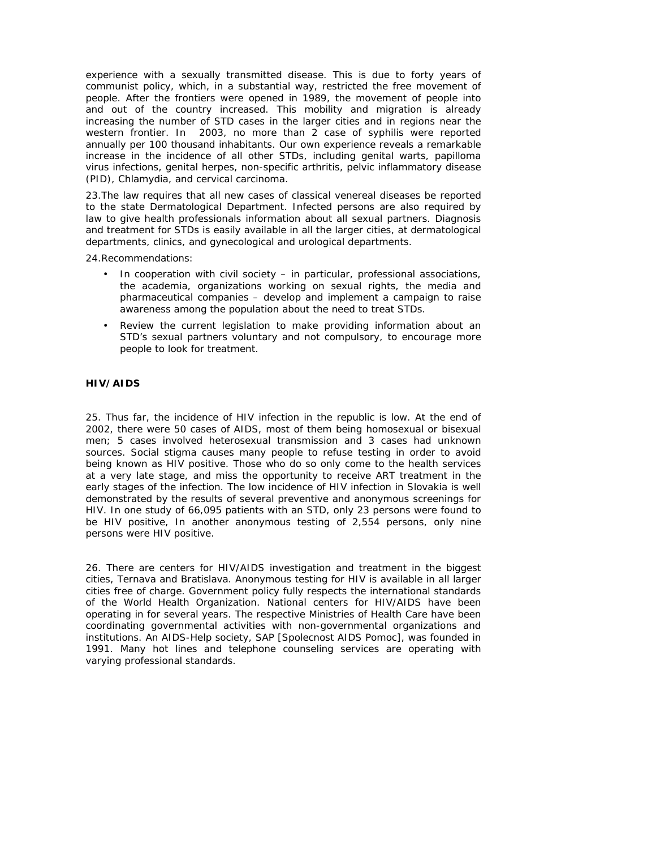experience with a sexually transmitted disease. This is due to forty years of communist policy, which, in a substantial way, restricted the free movement of people. After the frontiers were opened in 1989, the movement of people into and out of the country increased. This mobility and migration is already increasing the number of STD cases in the larger cities and in regions near the western frontier. In 2003, no more than 2 case of syphilis were reported annually per 100 thousand inhabitants. Our own experience reveals a remarkable increase in the incidence of all other STDs, including genital warts, papilloma virus infections, genital herpes, non-specific arthritis, pelvic inflammatory disease (PID), Chlamydia, and cervical carcinoma.

23.The law requires that all new cases of classical venereal diseases be reported to the state Dermatological Department. Infected persons are also required by law to give health professionals information about all sexual partners. Diagnosis and treatment for STDs is easily available in all the larger cities, at dermatological departments, clinics, and gynecological and urological departments.

24.Recommendations:

- In cooperation with civil society  $-$  in particular, professional associations, the academia, organizations working on sexual rights, the media and pharmaceutical companies – develop and implement a campaign to raise awareness among the population about the need to treat STDs.
- Review the current legislation to make providing information about an STD's sexual partners voluntary and not compulsory, to encourage more people to look for treatment.

## **HIV/AIDS**

25. Thus far, the incidence of HIV infection in the republic is low. At the end of 2002, there were 50 cases of AIDS, most of them being homosexual or bisexual men; 5 cases involved heterosexual transmission and 3 cases had unknown sources. Social stigma causes many people to refuse testing in order to avoid being known as HIV positive. Those who do so only come to the health services at a very late stage, and miss the opportunity to receive ART treatment in the early stages of the infection. The low incidence of HIV infection in Slovakia is well demonstrated by the results of several preventive and anonymous screenings for HIV. In one study of 66,095 patients with an STD, only 23 persons were found to be HIV positive, In another anonymous testing of 2,554 persons, only nine persons were HIV positive.

26. There are centers for HIV/AIDS investigation and treatment in the biggest cities, Ternava and Bratislava. Anonymous testing for HIV is available in all larger cities free of charge. Government policy fully respects the international standards of the World Health Organization. National centers for HIV/AIDS have been operating in for several years. The respective Ministries of Health Care have been coordinating governmental activities with non-governmental organizations and institutions. An AIDS-Help society, SAP *[Spolecnost AIDS Pomoc],* was founded in 1991. Many hot lines and telephone counseling services are operating with varying professional standards.